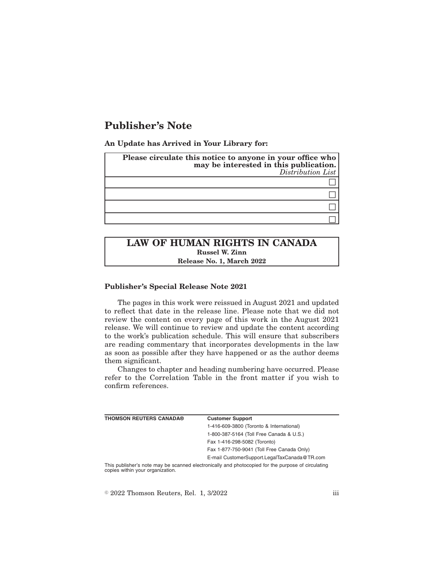# **Publisher's Note**

**An Update has Arrived in Your Library for:**

| Please circulate this notice to anyone in your office who<br>may be interested in this publication.<br>Distribution List |  |
|--------------------------------------------------------------------------------------------------------------------------|--|
|                                                                                                                          |  |
|                                                                                                                          |  |
|                                                                                                                          |  |
|                                                                                                                          |  |

## **LAW OF HUMAN RIGHTS IN CANADA Russel W. Zinn Release No. 1, March 2022**

#### **Publisher's Special Release Note 2021**

The pages in this work were reissued in August 2021 and updated to reflect that date in the release line. Please note that we did not review the content on every page of this work in the August 2021 release. We will continue to review and update the content according to the work's publication schedule. This will ensure that subscribers are reading commentary that incorporates developments in the law as soon as possible after they have happened or as the author deems them significant.

Changes to chapter and heading numbering have occurred. Please refer to the Correlation Table in the front matter if you wish to confirm references.

| <b>THOMSON REUTERS CANADA®</b>                                                                                                                                                                                        | <b>Customer Support</b>                      |
|-----------------------------------------------------------------------------------------------------------------------------------------------------------------------------------------------------------------------|----------------------------------------------|
|                                                                                                                                                                                                                       | 1-416-609-3800 (Toronto & International)     |
|                                                                                                                                                                                                                       | 1-800-387-5164 (Toll Free Canada & U.S.)     |
|                                                                                                                                                                                                                       | Fax 1-416-298-5082 (Toronto)                 |
|                                                                                                                                                                                                                       | Fax 1-877-750-9041 (Toll Free Canada Only)   |
|                                                                                                                                                                                                                       | E-mail CustomerSupport.LegalTaxCanada@TR.com |
| This publisher's note may be scanned electronically and photocopied for the purpose of circulating<br>the contract of the contract of the contract of the contract of the contract of the contract of the contract of |                                              |

copies within your organization.

 $\textdegree$  2022 Thomson Reuters, Rel. 1, 3/2022 iii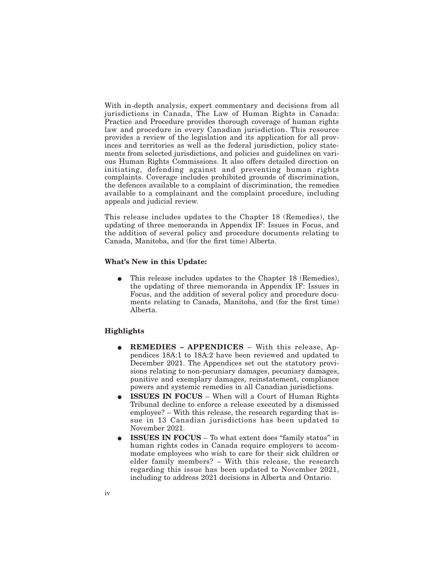With in-depth analysis, expert commentary and decisions from all jurisdictions in Canada, The Law of Human Rights in Canada: Practice and Procedure provides thorough coverage of human rights law and procedure in every Canadian jurisdiction. This resource provides a review of the legislation and its application for all provinces and territories as well as the federal jurisdiction, policy statements from selected jurisdictions, and policies and guidelines on various Human Rights Commissions. It also offers detailed direction on initiating, defending against and preventing human rights complaints. Coverage includes prohibited grounds of discrimination, the defences available to a complaint of discrimination, the remedies available to a complainant and the complaint procedure, including appeals and judicial review.

This release includes updates to the Chapter 18 (Remedies), the updating of three memoranda in Appendix IF: Issues in Focus, and the addition of several policy and procedure documents relating to Canada, Manitoba, and (for the first time) Alberta.

#### **What's New in this Update:**

This release includes updates to the Chapter 18 (Remedies), the updating of three memoranda in Appendix IF: Issues in Focus, and the addition of several policy and procedure documents relating to Canada, Manitoba, and (for the first time) Alberta.

#### **Highlights**

- E **REMEDIES APPENDICES** With this release, Appendices 18A:1 to 18A:2 have been reviewed and updated to December 2021. The Appendices set out the statutory provisions relating to non-pecuniary damages, pecuniary damages, punitive and exemplary damages, reinstatement, compliance powers and systemic remedies in all Canadian jurisdictions.
- E **ISSUES IN FOCUS** When will a Court of Human Rights Tribunal decline to enforce a release executed by a dismissed employee? – With this release, the research regarding that issue in 13 Canadian jurisdictions has been updated to November 2021.
- E **ISSUES IN FOCUS** To what extent does "family status" in human rights codes in Canada require employers to accommodate employees who wish to care for their sick children or elder family members? – With this release, the research regarding this issue has been updated to November 2021, including to address 2021 decisions in Alberta and Ontario.